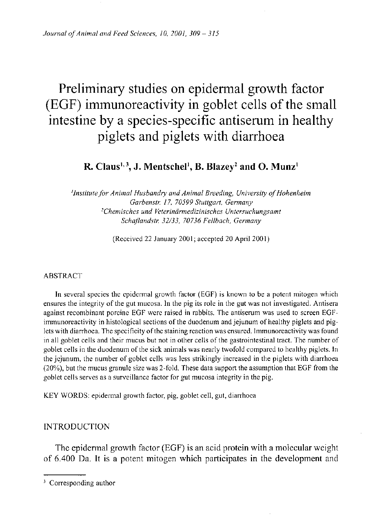# Preliminary studies on epidermal growth factor (EGF) immunoreactivity in goblet cells of the small intestine by a species-specific antiserum in healthy piglets and piglets with diarrhoea

# **R. Claus 1 3 , J . Mentschel<sup>1</sup> , B. Blazey<sup>2</sup> and O. Munz<sup>1</sup>**

*'Institute for Animal Husbandry and Animal Breeding, University of Hohenheim Garbenstr 17, 70599 Stuttgart, Germany <sup>2</sup>Chemisches und Veterinarmedizinisches Untersuchungsamt Schaflandstr. 32/33, 70736 Fellbach, Germany* 

(Received 22 January 2001; accepted 20 April 2001)

# ABSTRACT

In several species the epidermal growth factor (EGF) is known to be a potent mitogen which ensures the integrity of the gut mucosa. In the pig its role in the gut was not investigated. Antisera against recombinant porcine EGF were raised in rabbits. The antiserum was used to screen EGFimmunoreactivity in histological sections of the duodenum and jejunum of healthy piglets and piglets with diarrhoea. The specificity of the staining reaction was ensured. Immunoreactivity was found in all goblet cells and their mucus but not in other cells of the gastrointestinal tract. The number of goblet cells in the duodenum of the sick animals was nearly twofold compared to healthy piglets. In the jejunum, the number of goblet cells was less strikingly increased in the piglets with diarrhoea (20%), but the mucus granule size was 2-fold. These data support the assumption that EGF from the goblet cells serves as a surveillance factor for gut mucosa integrity in the pig.

KEY WORDS: epidermal growth factor, pig, goblet cell, gut, diarrhoca

# **INTRODUCTION**

The epidermal growth factor (EGF) is an acid protein with a molecular weight of 6.400 Da. It is a potent mitogen which participates in the development and

<sup>&</sup>lt;sup>3</sup> Corresponding author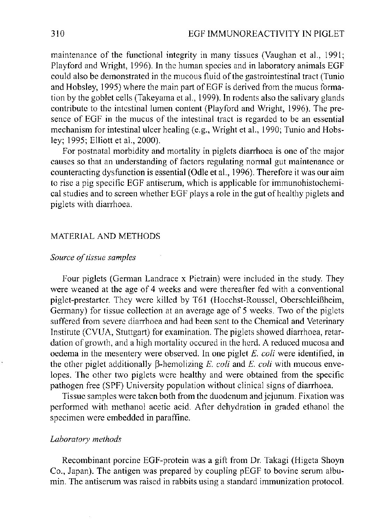maintenance of the functional integrity in many tissues (Vaughan et al., 1991; Playford and Wright, 1996). In the human species and in laboratory animals EGF could also be demonstrated in the mucous fluid of the gastrointestinal tract (Tunio and Hobsley, 1995) where the main part of EGF is derived from the mucus formation by the goblet cells (Takeyama et al., 1999). In rodents also the salivary glands contribute to the intestinal lumen content (Playford and Wright, 1996). The presence of EGF in the mucus of the intestinal tract is regarded to be an essential mechanism for intestinal ulcer healing (e.g., Wright et al., 1990; Tunio and Hobsley; 1995; Elliott etal., 2000).

For postnatal morbidity and mortality in piglets diarrhoea is one of the major causes so that an understanding of factors regulating normal gut maintenance or counteracting dysfunction is essential (Odle et al., 1996). Therefore it was our aim to rise a pig specific EGF antiserum, which is applicable for immunohistochemical studies and to screen whether EGF plays a role in the gut of healthy piglets and piglets with diarrhoea.

# MATERIAL AND METHODS

#### *Source of tissue samples*

Four piglets (German Landrace x Pietrain) were included in the study. They were weaned at the age of 4 weeks and were thereafter fed with a conventional piglet-prestarter. They were killed by T61 (Hoechst-Roussel, OberschleiBheim, Germany) for tissue collection at an average age of 5 weeks. Two of the piglets suffered from severe diarrhoea and had been sent to the Chemical and Veterinary Institute (CVUA, Stuttgart) for examination. The piglets showed diarrhoea, retardation of growth, and a high mortality occured in the herd. A reduced mucosa and oedema in the mesentery were observed. In one piglet *E. coli* were identified, in the other piglet additionally  $\beta$ -hemolizing *E. coli* and *E. coli* with mucous envelopes. The other two piglets were healthy and were obtained from the specific pathogen free (SPF) University population without clinical signs of diarrhoea.

Tissue samples were taken both from the duodenum and jejunum. Fixation was performed with methanol acetic acid. After dehydration in graded ethanol the specimen were embedded in paraffine.

#### *Laboratory methods*

Recombinant porcine EGF-protein was a gift from Dr. Takagi (Higeta Shoyn Co., Japan). The antigen was prepared by coupling pEGF to bovine serum albumin. The antiserum was raised in rabbits using a standard immunization protocol.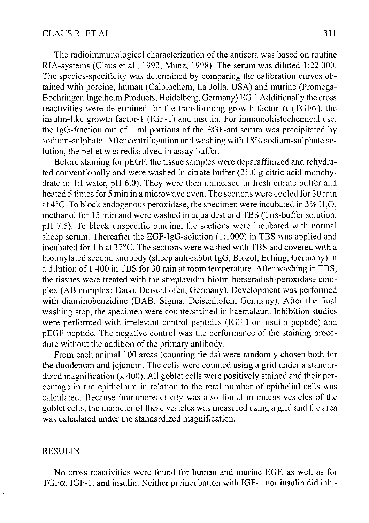# CLAUS R. ET AL. 311

The radioimmunological characterization of the antisera was based on routine RIA-systems (Claus et al, 1992; Munz, 1998). The serum was diluted 1:22.000. The species-specificity was determined by comparing the calibration curves obtained with porcine, human (Calbiochem, La Jolla, USA) and murine (Promega-Boehringer, Ingelheim Products, Heidelberg, Germany) EGF. Additionally the cross reactivities were determined for the transforming growth factor  $\alpha$  (TGF $\alpha$ ), the insulin-like growth factor-1 (IGF-1) and insulin. For immunohistochemical use, the IgG-fraction out of 1 ml portions of the EGF-antiserum was precipitated by sodium-sulphate. After centrifugation and washing with 18% sodium-sulphate solution, the pellet was redissolved in assay buffer.

Before staining for pEGF, the tissue samples were deparaffinized and rehydrated conventionally and were washed in citrate buffer (21.0 g citric acid monohydrate in 1:1 water, pH 6.0). They were then immersed in fresh citrate buffer and heated 5 times for 5 min in a microwave oven. The sections were cooled for 30 min at  $4^{\circ}$ C. To block endogenous peroxidase, the specimen were incubated in  $3\%$  H,O, methanol for 15 min and were washed in aqua dest and TBS (Tris-buffer solution, pH 7.5). To block unspecific binding, the sections were incubated with normal sheep serum. Thereafter the EGF-IgG-solution (1:1000) in TBS was applied and incubated for 1 h at 37°C. The sections were washed with TBS and covered with a biotinylated second antibody (sheep anti-rabbit IgG, Biozol, Eching, Germany) in a dilution of 1:400 in TBS for 30 min at room temperature. After washing in TBS, the tissues were treated with the streptavidin-biotin-horseradish-peroxidase complex (AB complex: Daco, Deisenhofen, Germany). Development was performed with diaminobenzidine (DAB; Sigma, Deisenhofen, Germany). After the final washing step, the specimen were counterstained in haemalaun. Inhibition studies were performed with irrelevant control peptides (IGF-I or insulin peptide) and pEGF peptide. The negative control was the performance of the staining procedure without the addition of the primary antibody.

From each animal 100 areas (counting fields) were randomly chosen both for the duodenum and jejunum. The cells were counted using a grid under a standardized magnification (x 400). All goblet cells were positively stained and their percentage in the epithelium in relation to the total number of epithelial cells was calculated. Because immunoreactivity was also found in mucus vesicles of the goblet cells, the diameter of these vesicles was measured using a grid and the area was calculated under the standardized magnification.

# RESULTS

No cross reactivities were found for human and murine EGF, as well as for  $TGF\alpha$ ,  $IGF-1$ , and insulin. Neither preincubation with  $IGF-1$  nor insulin did inhi-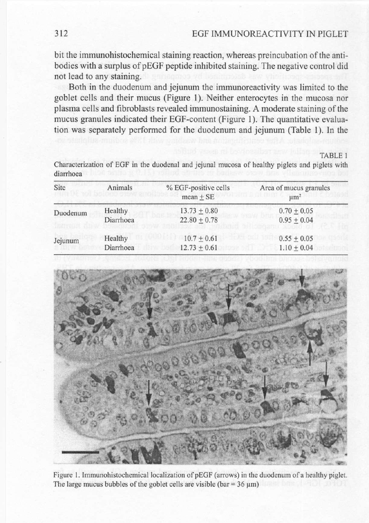bit the immunohistochemical staining reaction, whereas preincubation of the antibodies with a surplus of pEGF peptide inhibited staining. The negative control did not lead to any staining.

Both in the duodenum and jejunum the immunoreactivity was limited to the goblet cells and their mucus (Figure 1). Neither enterocytes in the mucosa nor plasma cells and fibroblasts revealed immunostaining. A moderate staining of the mucus granules indicated their EGF-content (Figure 1). The quantitative evaluation was separately performed for the duodenum and jejunum (Table 1). In the

TABLE 1

Characterization of EGF in the duodenal and jejunal mucosa of healthy piglets and piglets with diarrhoea

| Site     | Animals   | % EGF-positive cells<br>$mean + SE$ | Area of mucus granules<br>$\mu$ m <sup>2</sup> |
|----------|-----------|-------------------------------------|------------------------------------------------|
| Duodenum | Healthy   | $13.73 + 0.80$                      | $0.70 \pm 0.05$                                |
|          | Diarrhoea | $22.80 \pm 0.78$                    | $0.95 \pm 0.04$                                |
| Jejunum  | Healthy   | $10.7 + 0.61$                       | $0.55 + 0.05$                                  |
|          | Diarrhoea | $12.73 + 0.61$                      | $1.10 \pm 0.04$                                |



Figure 1. Immunohistochemical localization of pEGF (arrows) in the duodenum of a healthy piglet. The large mucus bubbles of the goblet cells are visible (bar =  $36 \mu m$ )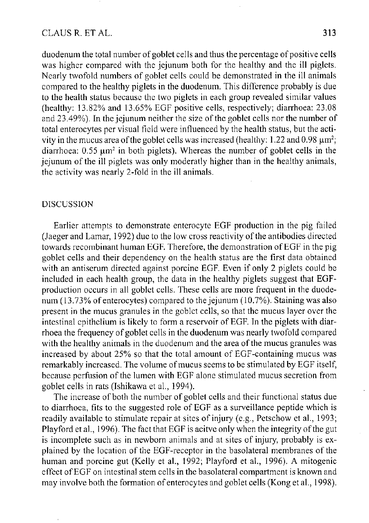# CLAUS R. ET AL. 313

duodenum the total number of goblet cells and thus the percentage of positive cells was higher compared with the jejunum both for the healthy and the ill piglets. Nearly twofold numbers of goblet cells could be demonstrated in the ill animals compared to the healthy piglets in the duodenum. This difference probably is due to the health status because the two piglets in each group revealed similar values (healthy: 13.82% and 13.65% EGF positive cells, respectively; diarrhoea: 23.08 and 23.49%). In the jejunum neither the size of the goblet cells nor the number of total enterocytes per visual field were influenced by the health status, but the activity in the mucus area of the goblet cells was increased (healthy:  $1.22$  and  $0.98 \mu m^2$ ; diarrhoea:  $0.55 \mu m^2$  in both piglets). Whereas the number of goblet cells in the jejunum of the ill piglets was only moderatly higher than in the healthy animals, the activity was nearly 2-fold in the ill animals.

#### DISCUSSION

Earlier attempts to demonstrate enterocyte EGF production in the pig failed (Jaeger and Lamar, 1992) due to the low cross reactivity of the antibodies directed towards recombinant human EGF. Therefore, the demonstration of EGF in the pig goblet cells and their dependency on the health status are the first data obtained with an antiserum directed against porcine EGF. Even if only 2 piglets could be included in each health group, the data in the healthy piglets suggest that EGFproduction occurs in all goblet cells. These cells are more frequent in the duodenum (13.73%) of enterocytes) compared to the jejunum (10.7%). Staining was also present in the mucus granules in the goblet cells, so that the mucus layer over the intestinal epithelium is likely to form a reservoir of EGF. In the piglets with diarrhoea the frequency of goblet cells in the duodenum was nearly twofold compared with the healthy animals in the duodenum and the area of the mucus granules was increased by about 25% so that the total amount of EGF-containing mucus was remarkably increased. The volume of mucus seems to be stimulated by EGF itself, because perfusion of the lumen with EGF alone stimulated mucus secretion from goblet cells in rats (Ishikawa et al., 1994).

The increase of both the number of goblet cells and their functional status due to diarrhoea, fits to the suggested role of EGF as a surveillance peptide which is readily available to stimulate repair at sites of injury (e.g., Petschow et al., 1993; Playford et al., 1996). The fact that EGF is acitve only when the integrity of the gut is incomplete such as in newborn animals and at sites of injury, probably is explained by the location of the EGF-receptor in the basolateral membranes of the human and porcine gut (Kelly et al., 1992; Playford et al., 1996). A mitogenic effect of EGF on intestinal stem cells in the basolateral compartment is known and may involve both the formation of enterocytes and goblet cells (Kong et al., 1998).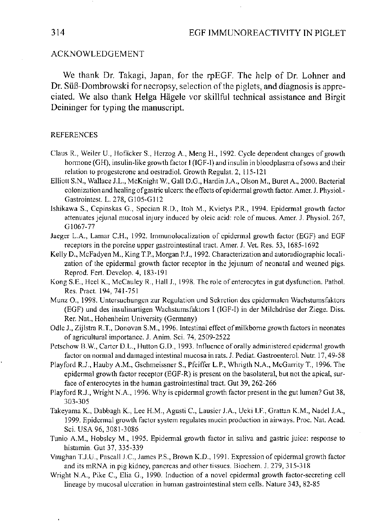#### ACKNOWLEDGEMENT

We thank Dr. Takagi, Japan, for the rpEGF. The help of Dr. Lohner and Dr. SuB-Dombrowski for necropsy, selection of the piglets, and diagnosis is appreciated. We also thank Helga Hagele vor skillful technical assistance and Birgit Deininger for typing the manuscript.

#### REFERENCES

- Claus R., Weiler U., Hofacker S., Herzog A., Meng H., 1992. Cycle dependent changes of growth hormone (GH), insulin-like growth factor I (IGF-I) and insulin in bloodplasma of sows and their relation to progesterone and oestradiol. Growth Regulat. 2, 115-121
- Elliott S.N., Wallace J.L., McKnight W, Gall D.G., Hardin J.A., Olson M., Buret A., 2000. Bacterial colonization and healing of gastric ulcers: the effects of epidermal growth factor. Amer. J. Physiol-Gastrointest. L. 278, G105-G112
- Ishikawa S., Cepinskas G., Specian R.D., Itoh M., Kvietys P.R., 1994. Epidermal growth factor attenuates jejunal mucosal injury induced by oleic acid: role of mucus. Amer. J. Physiol. 267, G1067-77
- Jaeger L.A., Lamar C.H., 1992. Immunolocalization of epidermal growth factor (EGF) and EGF receptors in the porcine upper gastrointestinal tract. Amer. J. Vet. Res. 53, 1685-1692
- Kelly D., McFadyen M., King T.P., Morgan P.J., 1992. Characterization and autoradiographic localization of the epidermal growth factor receptor in the jejunum of neonatal and weaned pigs. Reprod. Fert. Develop. 4, 183-191
- Kong S.E., Heel K., McCauley R., Hall J., 1998. The role of enterocytes in gut dysfunction. Pathol. Res. Pract. 194, 741-751
- Munz O., 1998. Untersuchungen zur Regulation und Sekretion des epidermalen Wachstumsfaktors (EGF) und des insulinartigen Wachstumsfaktors I (IGF-I) in der Milchdriise der Ziege. Diss. Rer. Nat., Hohenheim University (Germany)
- Odle J., Zijlstra R.T., Donovan S.M., 1996. Intestinal effect of milkborne growth factors in neonates of agricultural importance. J. Anim. Sci. 74, 2509-2522
- Petschow B.W., Carter D.L., Hutton G.D., 1993. Influence of orally administered epidermal growth factor on normal and damaged intestinal mucosa in rats. J. Pediat. Gastroenterol. Nutr. 17,49-58
- Playford R.J., Hauby A.M., Gschmeissner S., Pfeiffer L.P., Whrigth N.A., McGarrity T., 1996. The epidermal growth factor receptor (EGF-R) is present on the basolateral, but not the apical, surface of enterocytes in the human gastrointestinal tract. Gut 39, 262-266
- Playford R.J., Wright N.A., 1996. Why is epidermal growth factor present in the gut lumen? Gut 38, 303-305
- Takeyama K., Dabbagh K., Lee H.M., Agusti C, Lausier J.A., Ueki I.F., Grattan K.M., Nadel J.A., 1999. Epidermal growth factor system regulates mucin production in airways. Proc. Nat. Acad. Sci. USA 96, 3081-3086
- Tunio A.M., Hobsley M., 1995. Epidermal growth factor in saliva and gastric juice: response to histamin. Gut 37, 335-339
- Vaughan T.J.U., Pascall J.C., James P.S., Brown K.D., 1991. Expression of epidermal growth factor and its mRNA in pig kidney, pancreas and other tissues. Biochem. J. 279, 315-318
- Wright N.A., Pike C, Elia G., 1990. Induction of a novel epidermal growth factor-secreting cell lineage by mucosal ulceration in human gastrointestinal stem cells. Nature 343, 82-85